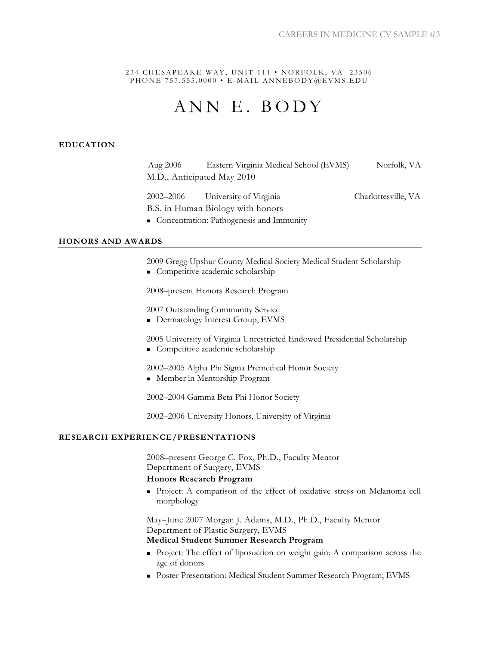234 CHESAPEAKE WAY, UNIT 111 • NORFOLK, VA 23506 PHONE 757.555.0000 • E-MAIL ANNEBODY@EVMS.EDU

# ANN E. BODY

#### **EDUCATION**

Aug 2006 Eastern Virginia Medical School (EVMS) Norfolk, VA M.D., Anticipated May 2010

2002–2006 University of Virginia Charlottesville, VA B.S. in Human Biology with honors

■ Concentration: Pathogenesis and Immunity

## **HONORS AND AWARDS**

2009 Gregg Upshur County Medical Society Medical Student Scholarship **Competitive academic scholarship** 

2008–present Honors Research Program

2007 Outstanding Community Service

**Dermatology Interest Group, EVMS** 

2005 University of Virginia Unrestricted Endowed Presidential Scholarship **Competitive academic scholarship** 

2002–2005 Alpha Phi Sigma Premedical Honor Society Member in Mentorship Program

2002–2004 Gamma Beta Phi Honor Society

2002–2006 University Honors, University of Virginia

#### **RESEARCH EXPERIENCE/PRESENTATIONS**

2008–present George C. Fox, Ph.D., Faculty Mentor Department of Surgery, EVMS

#### **Honors Research Program**

 Project: A comparison of the effect of oxidative stress on Melanoma cell morphology

May–June 2007 Morgan J. Adams, M.D., Ph.D., Faculty Mentor Department of Plastic Surgery, EVMS

# **Medical Student Summer Research Program**

- Project: The effect of liposuction on weight gain: A comparison across the age of donors
- Poster Presentation: Medical Student Summer Research Program, EVMS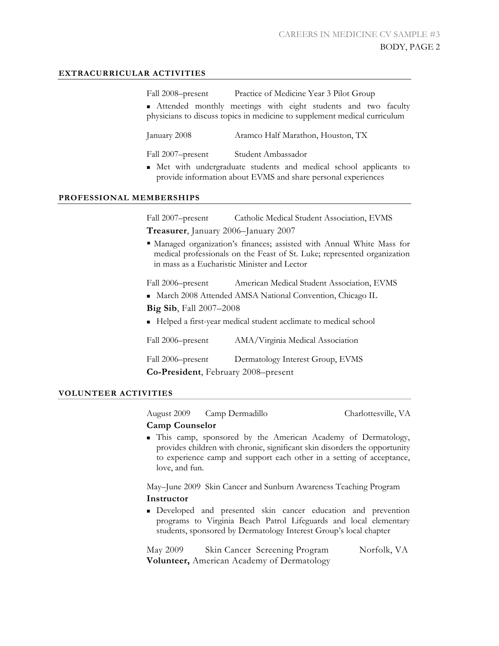## **EXTRACURRICULAR ACTIVITIES**

Fall 2008–present Practice of Medicine Year 3 Pilot Group

 Attended monthly meetings with eight students and two faculty physicians to discuss topics in medicine to supplement medical curriculum

January 2008 Aramco Half Marathon, Houston, TX

Fall 2007–present Student Ambassador

 Met with undergraduate students and medical school applicants to provide information about EVMS and share personal experiences

#### **PROFESSIONAL MEMBERSHIPS**

Fall 2007–present Catholic Medical Student Association, EVMS

**Treasurer**, January 2006–January 2007

 Managed organization's finances; assisted with Annual White Mass for medical professionals on the Feast of St. Luke; represented organization in mass as a Eucharistic Minister and Lector

Fall 2006–present American Medical Student Association, EVMS

- March 2008 Attended AMSA National Convention, Chicago IL
- **Big Sib**, Fall 2007–2008

Helped a first-year medical student acclimate to medical school

Fall 2006–present AMA/Virginia Medical Association

Fall 2006–present Dermatology Interest Group, EVMS **Co-President**, February 2008–present

## **VOLUNTEER ACTIVITIES**

August 2009 Camp Dermadillo Charlottesville, VA

#### **Camp Counselor**

 This camp, sponsored by the American Academy of Dermatology, provides children with chronic, significant skin disorders the opportunity to experience camp and support each other in a setting of acceptance, love, and fun.

May–June 2009 Skin Cancer and Sunburn Awareness Teaching Program **Instructor** 

 Developed and presented skin cancer education and prevention programs to Virginia Beach Patrol Lifeguards and local elementary students, sponsored by Dermatology Interest Group's local chapter

May 2009 Skin Cancer Screening Program Norfolk, VA **Volunteer,** American Academy of Dermatology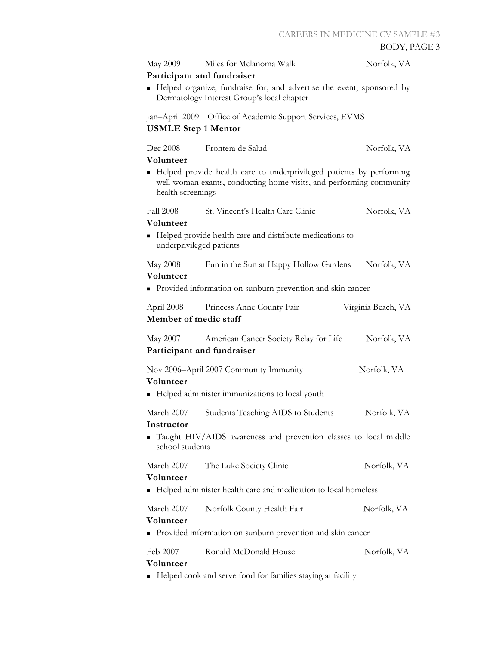| <b>May 2009</b>                                                                                                                                                 | Miles for Melanoma Walk                                                                                | Norfolk, VA |  |
|-----------------------------------------------------------------------------------------------------------------------------------------------------------------|--------------------------------------------------------------------------------------------------------|-------------|--|
|                                                                                                                                                                 | Participant and fundraiser                                                                             |             |  |
| Helped organize, fundraise for, and advertise the event, sponsored by<br>Dermatology Interest Group's local chapter                                             |                                                                                                        |             |  |
| Jan-April 2009<br>Office of Academic Support Services, EVMS<br><b>USMLE Step 1 Mentor</b>                                                                       |                                                                                                        |             |  |
| Dec 2008<br>Volunteer                                                                                                                                           | Frontera de Salud                                                                                      | Norfolk, VA |  |
| Helped provide health care to underprivileged patients by performing<br>well-woman exams, conducting home visits, and performing community<br>health screenings |                                                                                                        |             |  |
| <b>Fall 2008</b>                                                                                                                                                | St. Vincent's Health Care Clinic                                                                       | Norfolk, VA |  |
| Volunteer<br>Helped provide health care and distribute medications to<br>underprivileged patients                                                               |                                                                                                        |             |  |
| <b>May 2008</b><br>Volunteer                                                                                                                                    | Fun in the Sun at Happy Hollow Gardens<br>• Provided information on sunburn prevention and skin cancer | Norfolk, VA |  |
|                                                                                                                                                                 |                                                                                                        |             |  |
| April 2008<br>Princess Anne County Fair<br>Virginia Beach, VA<br>Member of medic staff                                                                          |                                                                                                        |             |  |
| May 2007                                                                                                                                                        | American Cancer Society Relay for Life<br>Participant and fundraiser                                   | Norfolk, VA |  |
| Volunteer                                                                                                                                                       | Nov 2006–April 2007 Community Immunity                                                                 | Norfolk, VA |  |
| Helped administer immunizations to local youth                                                                                                                  |                                                                                                        |             |  |
| March 2007<br>Instructor                                                                                                                                        | Students Teaching AIDS to Students                                                                     | Norfolk, VA |  |
| school students                                                                                                                                                 | Taught HIV/AIDS awareness and prevention classes to local middle                                       |             |  |
| March 2007<br>Volunteer                                                                                                                                         | The Luke Society Clinic                                                                                | Norfolk, VA |  |
|                                                                                                                                                                 | Helped administer health care and medication to local homeless                                         |             |  |
| March 2007<br>Volunteer                                                                                                                                         | Norfolk County Health Fair                                                                             | Norfolk, VA |  |
| Provided information on sunburn prevention and skin cancer                                                                                                      |                                                                                                        |             |  |
| Feb 2007<br>Volunteer                                                                                                                                           | Ronald McDonald House                                                                                  | Norfolk, VA |  |
| • Helped cook and serve food for families staying at facility                                                                                                   |                                                                                                        |             |  |